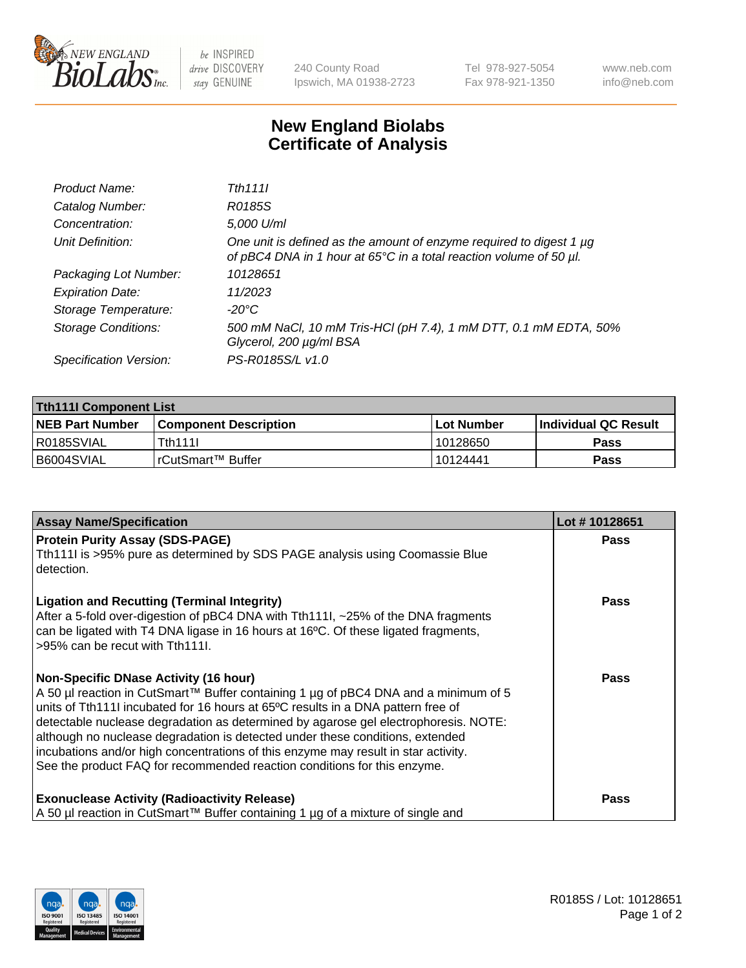

 $be$  INSPIRED drive DISCOVERY stay GENUINE

240 County Road Ipswich, MA 01938-2723 Tel 978-927-5054 Fax 978-921-1350 www.neb.com info@neb.com

## **New England Biolabs Certificate of Analysis**

| Product Name:              | Tth 1111                                                                                                                                  |
|----------------------------|-------------------------------------------------------------------------------------------------------------------------------------------|
| Catalog Number:            | R0185S                                                                                                                                    |
| Concentration:             | 5,000 U/ml                                                                                                                                |
| Unit Definition:           | One unit is defined as the amount of enzyme required to digest 1 µg<br>of pBC4 DNA in 1 hour at 65°C in a total reaction volume of 50 µl. |
| Packaging Lot Number:      | 10128651                                                                                                                                  |
| <b>Expiration Date:</b>    | 11/2023                                                                                                                                   |
| Storage Temperature:       | -20°C                                                                                                                                     |
| <b>Storage Conditions:</b> | 500 mM NaCl, 10 mM Tris-HCl (pH 7.4), 1 mM DTT, 0.1 mM EDTA, 50%<br>Glycerol, 200 µg/ml BSA                                               |
| Specification Version:     | PS-R0185S/L v1.0                                                                                                                          |

| <b>Tth111I Component List</b> |                         |              |                             |  |  |
|-------------------------------|-------------------------|--------------|-----------------------------|--|--|
| <b>NEB Part Number</b>        | l Component Description | l Lot Number | <b>Individual QC Result</b> |  |  |
| R0185SVIAL                    | Tth111l                 | 10128650     | Pass                        |  |  |
| I B6004SVIAL                  | I rCutSmart™ Buffer_    | 10124441     | Pass                        |  |  |

| <b>Assay Name/Specification</b>                                                                                                                                                                                                                                                                                                                                                                                                                                                                                                                                   | Lot #10128651 |
|-------------------------------------------------------------------------------------------------------------------------------------------------------------------------------------------------------------------------------------------------------------------------------------------------------------------------------------------------------------------------------------------------------------------------------------------------------------------------------------------------------------------------------------------------------------------|---------------|
| <b>Protein Purity Assay (SDS-PAGE)</b><br>Tth111I is >95% pure as determined by SDS PAGE analysis using Coomassie Blue<br>detection.                                                                                                                                                                                                                                                                                                                                                                                                                              | <b>Pass</b>   |
| <b>Ligation and Recutting (Terminal Integrity)</b><br>After a 5-fold over-digestion of pBC4 DNA with Tth1111, ~25% of the DNA fragments<br>can be ligated with T4 DNA ligase in 16 hours at 16°C. Of these ligated fragments,<br>>95% can be recut with Tth111I.                                                                                                                                                                                                                                                                                                  | Pass          |
| <b>Non-Specific DNase Activity (16 hour)</b><br>A 50 µl reaction in CutSmart™ Buffer containing 1 µg of pBC4 DNA and a minimum of 5<br>units of Tth111I incubated for 16 hours at 65°C results in a DNA pattern free of<br>detectable nuclease degradation as determined by agarose gel electrophoresis. NOTE:<br>although no nuclease degradation is detected under these conditions, extended<br>incubations and/or high concentrations of this enzyme may result in star activity.<br>See the product FAQ for recommended reaction conditions for this enzyme. | <b>Pass</b>   |
| <b>Exonuclease Activity (Radioactivity Release)</b><br>A 50 µl reaction in CutSmart™ Buffer containing 1 µg of a mixture of single and                                                                                                                                                                                                                                                                                                                                                                                                                            | Pass          |